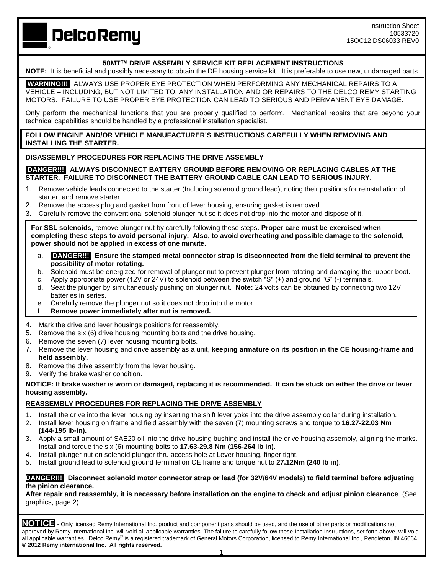**DelcoRemy** 

# **50MT™ DRIVE ASSEMBLY SERVICE KIT REPLACEMENT INSTRUCTIONS**

**NOTE:** It is beneficial and possibly necessary to obtain the DE housing service kit. It is preferable to use new, undamaged parts. 

**WARNING!!!** ALWAYS USE PROPER EYE PROTECTION WHEN PERFORMING ANY MECHANICAL REPAIRS TO A VEHICLE – INCLUDING, BUT NOT LIMITED TO, ANY INSTALLATION AND OR REPAIRS TO THE DELCO REMY STARTING MOTORS. FAILURE TO USE PROPER EYE PROTECTION CAN LEAD TO SERIOUS AND PERMANENT EYE DAMAGE.

Only perform the mechanical functions that you are properly qualified to perform. Mechanical repairs that are beyond your technical capabilities should be handled by a professional installation specialist.

### **FOLLOW ENGINE AND/OR VEHICLE MANUFACTURER'S INSTRUCTIONS CAREFULLY WHEN REMOVING AND INSTALLING THE STARTER.**

# **DISASSEMBLY PROCEDURES FOR REPLACING THE DRIVE ASSEMBLY**

### **DANGER!!! ALWAYS DISCONNECT BATTERY GROUND BEFORE REMOVING OR REPLACING CABLES AT THE STARTER. FAILURE TO DISCONNECT THE BATTERY GROUND CABLE CAN LEAD TO SERIOUS INJURY.**

- 1. Remove vehicle leads connected to the starter (Including solenoid ground lead), noting their positions for reinstallation of starter, and remove starter.
- 2. Remove the access plug and gasket from front of lever housing, ensuring gasket is removed.
- 3. Carefully remove the conventional solenoid plunger nut so it does not drop into the motor and dispose of it.

**For SSL solenoids**, remove plunger nut by carefully following these steps. **Proper care must be exercised when completing these steps to avoid personal injury. Also, to avoid overheating and possible damage to the solenoid, power should not be applied in excess of one minute.**

- a. **DANGER!!! Ensure the stamped metal connector strap is disconnected from the field terminal to prevent the possibility of motor rotating.**
- b. Solenoid must be energized for removal of plunger nut to prevent plunger from rotating and damaging the rubber boot.
- c. Apply appropriate power (12V or 24V) to solenoid between the switch "S" (+) and ground "G" (-) terminals.
- d. Seat the plunger by simultaneously pushing on plunger nut. **Note:** 24 volts can be obtained by connecting two 12V batteries in series.
- e. Carefully remove the plunger nut so it does not drop into the motor.
- f. **Remove power immediately after nut is removed.**
- 4. Mark the drive and lever housings positions for reassembly.
- 5. Remove the six (6) drive housing mounting bolts and the drive housing.
- 6. Remove the seven (7) lever housing mounting bolts.
- 7. Remove the lever housing and drive assembly as a unit, **keeping armature on its position in the CE housing-frame and field assembly.**
- 8. Remove the drive assembly from the lever housing.
- 9. Verify the brake washer condition.

#### **NOTICE: If brake washer is worn or damaged, replacing it is recommended. It can be stuck on either the drive or lever housing assembly.**

#### **REASSEMBLY PROCEDURES FOR REPLACING THE DRIVE ASSEMBLY**

- 1. Install the drive into the lever housing by inserting the shift lever yoke into the drive assembly collar during installation.
- 2. Install lever housing on frame and field assembly with the seven (7) mounting screws and torque to **16.27-22.03 Nm (144-195 lb-in).**
- 3. Apply a small amount of SAE20 oil into the drive housing bushing and install the drive housing assembly, aligning the marks. Install and torque the six (6) mounting bolts to **17.63-29.8 Nm (156-264 lb in).**
- 4. Install plunger nut on solenoid plunger thru access hole at Lever housing, finger tight.
- 5. Install ground lead to solenoid ground terminal on CE frame and torque nut to **27.12Nm (240 lb in)**.

### **DANGER!!! Disconnect solenoid motor connector strap or lead (for 32V/64V models) to field terminal before adjusting the pinion clearance.**

**After repair and reassembly, it is necessary before installation on the engine to check and adjust pinion clearance**. (See graphics, page 2).

**NOTICE -** Only licensed Remy International Inc. product and component parts should be used, and the use of other parts or modifications not approved by Remy International Inc. will void all applicable warranties. The failure to carefully follow these Installation Instructions, set forth above, will void all applicable warranties. Delco Remy® is a registered trademark of General Motors Corporation, licensed to Remy International Inc., Pendleton, IN 46064. **© 2012 Remy international Inc. All rights reserved.**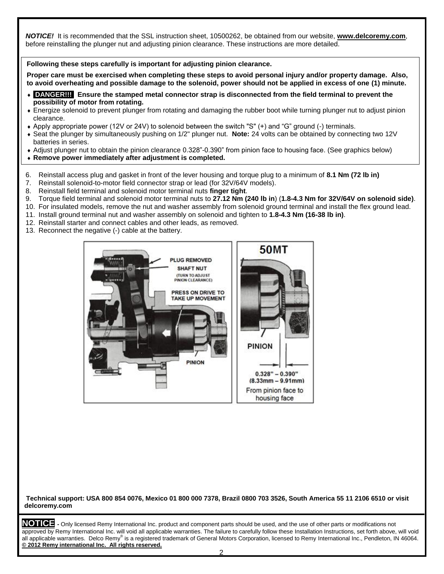*NOTICE!* It is recommended that the SSL instruction sheet, 10500262, be obtained from our website, **[www.delcoremy.com](http://www.delcoremy.com/)**, before reinstalling the plunger nut and adjusting pinion clearance. These instructions are more detailed.

# **Following these steps carefully is important for adjusting pinion clearance.**

**Proper care must be exercised when completing these steps to avoid personal injury and/or property damage. Also, to avoid overheating and possible damage to the solenoid, power should not be applied in excess of one (1) minute.**

- **DANGER!!! Ensure the stamped metal connector strap is disconnected from the field terminal to prevent the possibility of motor from rotating.**
- Energize solenoid to prevent plunger from rotating and damaging the rubber boot while turning plunger nut to adjust pinion clearance.
- Apply appropriate power (12V or 24V) to solenoid between the switch "S" (+) and "G" ground (-) terminals.
- Seat the plunger by simultaneously pushing on 1/2" plunger nut. **Note:** 24 volts can be obtained by connecting two 12V batteries in series.
- Adjust plunger nut to obtain the pinion clearance 0.328"-0.390" from pinion face to housing face. (See graphics below)
- **Remove power immediately after adjustment is completed.**
- 6. Reinstall access plug and gasket in front of the lever housing and torque plug to a minimum of **8.1 Nm (72 lb in)**
- 7. Reinstall solenoid-to-motor field connector strap or lead (for 32V/64V models).
- 8. Reinstall field terminal and solenoid motor terminal nuts **finger tight**.
- 9. Torque field terminal and solenoid motor terminal nuts to **27.12 Nm (240 lb in**) (**1.8-4.3 Nm for 32V/64V on solenoid side)**.
- 10. For insulated models, remove the nut and washer assembly from solenoid ground terminal and install the flex ground lead.
- 11. Install ground terminal nut and washer assembly on solenoid and tighten to **1.8-4.3 Nm (16-38 lb in)**.
- 12. Reinstall starter and connect cables and other leads, as removed.
- 13. Reconnect the negative (-) cable at the battery.



**Technical support: USA 800 854 0076, Mexico 01 800 000 7378, Brazil 0800 703 3526, South America 55 11 2106 6510 or visit delcoremy.com**

**NOTICE -** Only licensed Remy International Inc. product and component parts should be used, and the use of other parts or modifications not approved by Remy International Inc. will void all applicable warranties. The failure to carefully follow these Installation Instructions, set forth above, will void all applicable warranties. Delco Remy® is a registered trademark of General Motors Corporation, licensed to Remy International Inc., Pendleton, IN 46064. **© 2012 Remy international Inc. All rights reserved.**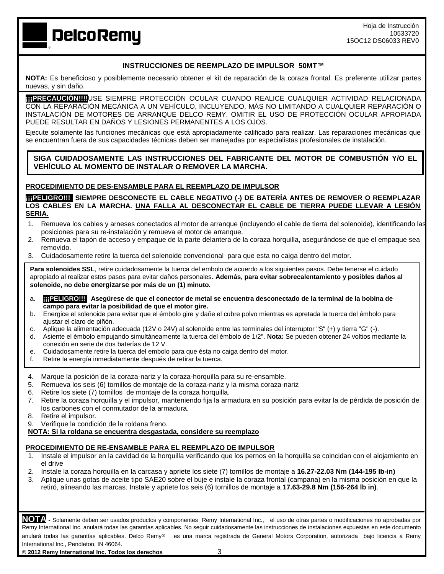**DelcoRemy** 

# **INSTRUCCIONES DE REEMPLAZO DE IMPULSOR 50MT™**

**NOTA:** Es beneficioso y posiblemente necesario obtener el kit de reparación de la coraza frontal. Es preferente utilizar partes nuevas, y sin daño.

**THPRECAUCIÓN!!!!]**USE SIEMPRE PROTECCIÓN OCULAR CUANDO REALICE CUALQUIER ACTIVIDAD RELACIONADA CON LA REPARACIÓN MECÁNICA A UN VEHÍCULO, INCLUYENDO, MÁS NO LIMITANDO A CUALQUIER REPARACIÓN O INSTALACIÓN DE MOTORES DE ARRANQUE DELCO REMY. OMITIR EL USO DE PROTECCIÓN OCULAR APROPIADA PUEDE RESULTAR EN DAÑOS Y LESIONES PERMANENTES A LOS OJOS.

Ejecute solamente las funciones mecánicas que está apropiadamente calificado para realizar. Las reparaciones mecánicas que se encuentran fuera de sus capacidades técnicas deben ser manejadas por especialistas profesionales de instalación.

**SIGA CUIDADOSAMENTE LAS INSTRUCCIONES DEL FABRICANTE DEL MOTOR DE COMBUSTIÓN Y/O EL VEHÍCULO AL MOMENTO DE INSTALAR O REMOVER LA MARCHA.**

# **PROCEDIMIENTO DE DES-ENSAMBLE PARA EL REEMPLAZO DE IMPULSOR**

**¡¡¡PELIGRO!!! SIEMPRE DESCONECTE EL CABLE NEGATIVO (-) DE BATERÍA ANTES DE REMOVER O REEMPLAZAR LOS CABLES EN LA MARCHA. UNA FALLA AL DESCONECTAR EL CABLE DE TIERRA PUEDE LLEVAR A LESIÓN SERIA.**

- 1. Remueva los cables y arneses conectados al motor de arranque (incluyendo el cable de tierra del solenoide), identificando las posiciones para su re-instalación y remueva el motor de arranque.
- 2. Remueva el tapón de acceso y empaque de la parte delantera de la coraza horquilla, asegurándose de que el empaque sea removido.
- 3. Cuidadosamente retire la tuerca del solenoide convencional para que esta no caiga dentro del motor.

**Para solenoides SSL**, retire cuidadosamente la tuerca del embolo de acuerdo a los siguientes pasos. Debe tenerse el cuidado apropiado al realizar estos pasos para evitar daños personales**. Además, para evitar sobrecalentamiento y posibles daños al solenoide, no debe energizarse por más de un (1) minuto.**

- a. **¡¡¡PELIGRO!!! Asegúrese de que el conector de metal se encuentra desconectado de la terminal de la bobina de campo para evitar la posibilidad de que el motor gire.**
- b. Energice el solenoide para evitar que el émbolo gire y dañe el cubre polvo mientras es apretada la tuerca del émbolo para ajustar el claro de piñón.
- c. Aplique la alimentación adecuada (12V o 24V) al solenoide entre las terminales del interruptor "S" (+) y tierra "G" (-).
- d. Asiente el émbolo empujando simultáneamente la tuerca del émbolo de 1/2". **Nota:** Se pueden obtener 24 voltios mediante la conexión en serie de dos baterías de 12 V.
- e. Cuidadosamente retire la tuerca del embolo para que ésta no caiga dentro del motor.
- f. Retire la energía inmediatamente después de retirar la tuerca.
- 4. Marque la posición de la coraza-nariz y la coraza-horquilla para su re-ensamble.
- 5. Remueva los seis (6) tornillos de montaje de la coraza-nariz y la misma coraza-nariz
- 6. Retire los siete (7) tornillos de montaje de la coraza horquilla.
- 7. Retire la coraza horquilla y el impulsor, manteniendo fija la armadura en su posición para evitar la de pérdida de posición de los carbones con el conmutador de la armadura.
- 8. Retire el impulsor.
- 9. Verifique la condición de la roldana freno.
- **NOTA: Si la roldana se encuentra desgastada, considere su reemplazo**

#### **PROCEDIMIENTO DE RE-ENSAMBLE PARA EL REEMPLAZO DE IMPULSOR**

- 1. Instale el impulsor en la cavidad de la horquilla verificando que los pernos en la horquilla se coincidan con el alojamiento en el drive
- 2. Instale la coraza horquilla en la carcasa y apriete los siete (7) tornillos de montaje a **16.27-22.03 Nm (144-195 lb-in)**
- 3. Aplique unas gotas de aceite tipo SAE20 sobre el buje e instale la coraza frontal (campana) en la misma posición en que la retiró, alineando las marcas. Instale y apriete los seis (6) tornillos de montaje a **17.63-29.8 Nm (156-264 lb in)**.

**NOTA -** Solamente deben ser usados productos y componentes Remy International Inc., el uso de otras partes o modificaciones no aprobadas por Remy International Inc. anulará todas las garantías aplicables. No seguir cuidadosamente las instrucciones de instalaciones expuestas en este documento anulará todas las garantías aplicables. Delco Remv<sup>®</sup> es una marca registrada de General Motors Corporation, autorizada bajo licencia a Remy International Inc., Pendleton, IN 46064.

**© 2012 Remy International Inc. Todos los derechos** 3